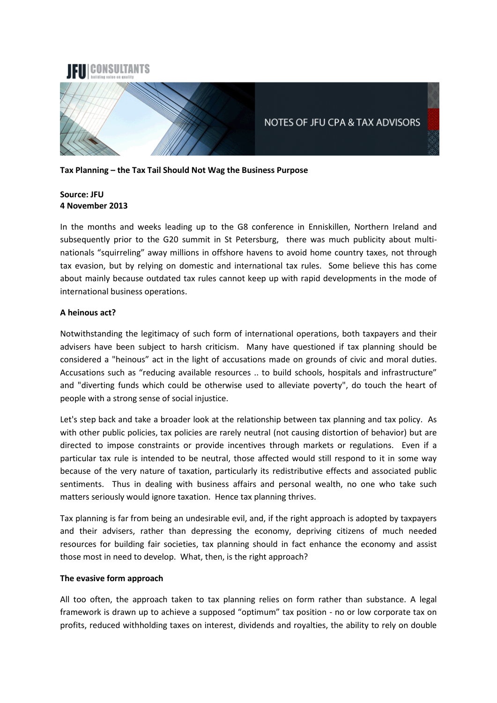

**Tax Planning – the Tax Tail Should Not Wag the Business Purpose**

# **Source: JFU 4 November 2013**

In the months and weeks leading up to the G8 conference in Enniskillen, Northern Ireland and subsequently prior to the G20 summit in St Petersburg, there was much publicity about multinationals "squirreling" away millions in offshore havens to avoid home country taxes, not through tax evasion, but by relying on domestic and international tax rules. Some believe this has come about mainly because outdated tax rules cannot keep up with rapid developments in the mode of international business operations.

# **A heinous act?**

Notwithstanding the legitimacy of such form of international operations, both taxpayers and their advisers have been subject to harsh criticism. Many have questioned if tax planning should be considered a "heinous" act in the light of accusations made on grounds of civic and moral duties. Accusations such as "reducing available resources .. to build schools, hospitals and infrastructure" and "diverting funds which could be otherwise used to alleviate poverty", do touch the heart of people with a strong sense of social injustice.

Let's step back and take a broader look at the relationship between tax planning and tax policy. As with other public policies, tax policies are rarely neutral (not causing distortion of behavior) but are directed to impose constraints or provide incentives through markets or regulations. Even if a particular tax rule is intended to be neutral, those affected would still respond to it in some way because of the very nature of taxation, particularly its redistributive effects and associated public sentiments. Thus in dealing with business affairs and personal wealth, no one who take such matters seriously would ignore taxation. Hence tax planning thrives.

Tax planning is far from being an undesirable evil, and, if the right approach is adopted by taxpayers and their advisers, rather than depressing the economy, depriving citizens of much needed resources for building fair societies, tax planning should in fact enhance the economy and assist those most in need to develop. What, then, is the right approach?

### **The evasive form approach**

All too often, the approach taken to tax planning relies on form rather than substance. A legal framework is drawn up to achieve a supposed "optimum" tax position - no or low corporate tax on profits, reduced withholding taxes on interest, dividends and royalties, the ability to rely on double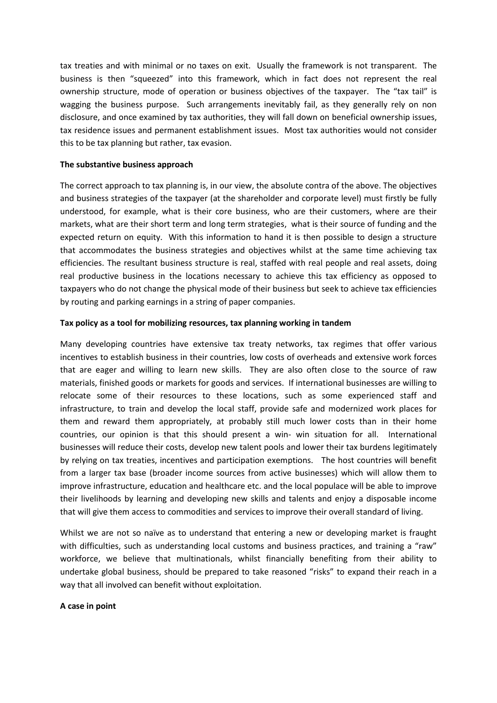tax treaties and with minimal or no taxes on exit. Usually the framework is not transparent. The business is then "squeezed" into this framework, which in fact does not represent the real ownership structure, mode of operation or business objectives of the taxpayer. The "tax tail" is wagging the business purpose. Such arrangements inevitably fail, as they generally rely on non disclosure, and once examined by tax authorities, they will fall down on beneficial ownership issues, tax residence issues and permanent establishment issues. Most tax authorities would not consider this to be tax planning but rather, tax evasion.

### **The substantive business approach**

The correct approach to tax planning is, in our view, the absolute contra of the above. The objectives and business strategies of the taxpayer (at the shareholder and corporate level) must firstly be fully understood, for example, what is their core business, who are their customers, where are their markets, what are their short term and long term strategies, what is their source of funding and the expected return on equity. With this information to hand it is then possible to design a structure that accommodates the business strategies and objectives whilst at the same time achieving tax efficiencies. The resultant business structure is real, staffed with real people and real assets, doing real productive business in the locations necessary to achieve this tax efficiency as opposed to taxpayers who do not change the physical mode of their business but seek to achieve tax efficiencies by routing and parking earnings in a string of paper companies.

#### **Tax policy as a tool for mobilizing resources, tax planning working in tandem**

Many developing countries have extensive tax treaty networks, tax regimes that offer various incentives to establish business in their countries, low costs of overheads and extensive work forces that are eager and willing to learn new skills. They are also often close to the source of raw materials, finished goods or markets for goods and services. If international businesses are willing to relocate some of their resources to these locations, such as some experienced staff and infrastructure, to train and develop the local staff, provide safe and modernized work places for them and reward them appropriately, at probably still much lower costs than in their home countries, our opinion is that this should present a win- win situation for all. International businesses will reduce their costs, develop new talent pools and lower their tax burdens legitimately by relying on tax treaties, incentives and participation exemptions. The host countries will benefit from a larger tax base (broader income sources from active businesses) which will allow them to improve infrastructure, education and healthcare etc. and the local populace will be able to improve their livelihoods by learning and developing new skills and talents and enjoy a disposable income that will give them access to commodities and services to improve their overall standard of living.

Whilst we are not so naïve as to understand that entering a new or developing market is fraught with difficulties, such as understanding local customs and business practices, and training a "raw" workforce, we believe that multinationals, whilst financially benefiting from their ability to undertake global business, should be prepared to take reasoned "risks" to expand their reach in a way that all involved can benefit without exploitation.

#### **A case in point**